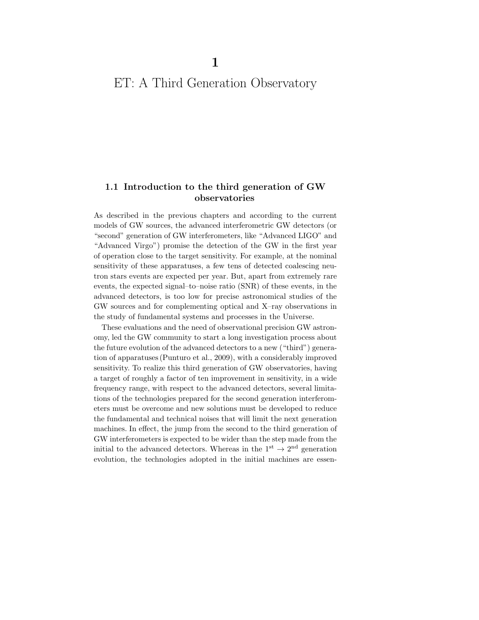# ET: A Third Generation Observatory

### **1.1 Introduction to the third generation of GW observatories**

As described in the previous chapters and according to the current models of GW sources, the advanced interferometric GW detectors (or "second" generation of GW interferometers, like "Advanced LIGO" and "Advanced Virgo") promise the detection of the GW in the first year of operation close to the target sensitivity. For example, at the nominal sensitivity of these apparatuses, a few tens of detected coalescing neutron stars events are expected per year. But, apart from extremely rare events, the expected signal–to–noise ratio (SNR) of these events, in the advanced detectors, is too low for precise astronomical studies of the GW sources and for complementing optical and X–ray observations in the study of fundamental systems and processes in the Universe.

These evaluations and the need of observational precision GW astronomy, led the GW community to start a long investigation process about the future evolution of the advanced detectors to a new ("third") generation of apparatuses (Punturo et al., 2009), with a considerably improved sensitivity. To realize this third generation of GW observatories, having a target of roughly a factor of ten improvement in sensitivity, in a wide frequency range, with respect to the advanced detectors, several limitations of the technologies prepared for the second generation interferometers must be overcome and new solutions must be developed to reduce the fundamental and technical noises that will limit the next generation machines. In effect, the jump from the second to the third generation of GW interferometers is expected to be wider than the step made from the initial to the advanced detectors. Whereas in the  $1^{st} \rightarrow 2^{nd}$  generation evolution, the technologies adopted in the initial machines are essen-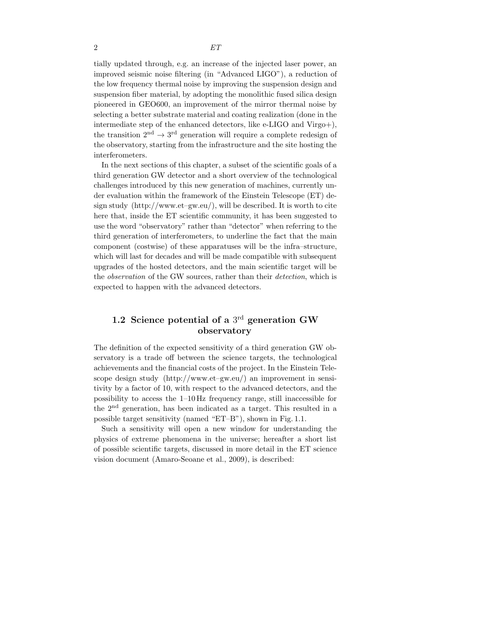tially updated through, e.g. an increase of the injected laser power, an improved seismic noise filtering (in "Advanced LIGO"), a reduction of the low frequency thermal noise by improving the suspension design and suspension fiber material, by adopting the monolithic fused silica design pioneered in GEO600, an improvement of the mirror thermal noise by selecting a better substrate material and coating realization (done in the intermediate step of the enhanced detectors, like e-LIGO and Virgo+), the transition  $2<sup>nd</sup> \rightarrow 3<sup>rd</sup>$  generation will require a complete redesign of the observatory, starting from the infrastructure and the site hosting the interferometers.

In the next sections of this chapter, a subset of the scientific goals of a third generation GW detector and a short overview of the technological challenges introduced by this new generation of machines, currently under evaluation within the framework of the Einstein Telescope (ET) design study (http://www.et–gw.eu/), will be described. It is worth to cite here that, inside the ET scientific community, it has been suggested to use the word "observatory" rather than "detector" when referring to the third generation of interferometers, to underline the fact that the main component (costwise) of these apparatuses will be the infra–structure, which will last for decades and will be made compatible with subsequent upgrades of the hosted detectors, and the main scientific target will be the *observation* of the GW sources, rather than their *detection*, which is expected to happen with the advanced detectors.

## **1.2 Science potential of a** 3rd **generation GW observatory**

The definition of the expected sensitivity of a third generation GW observatory is a trade off between the science targets, the technological achievements and the financial costs of the project. In the Einstein Telescope design study (http://www.et–gw.eu/) an improvement in sensitivity by a factor of 10, with respect to the advanced detectors, and the possibility to access the 1–10 Hz frequency range, still inaccessible for the 2nd generation, has been indicated as a target. This resulted in a possible target sensitivity (named "ET–B"), shown in Fig. 1.1.

Such a sensitivity will open a new window for understanding the physics of extreme phenomena in the universe; hereafter a short list of possible scientific targets, discussed in more detail in the ET science vision document (Amaro-Seoane et al., 2009), is described: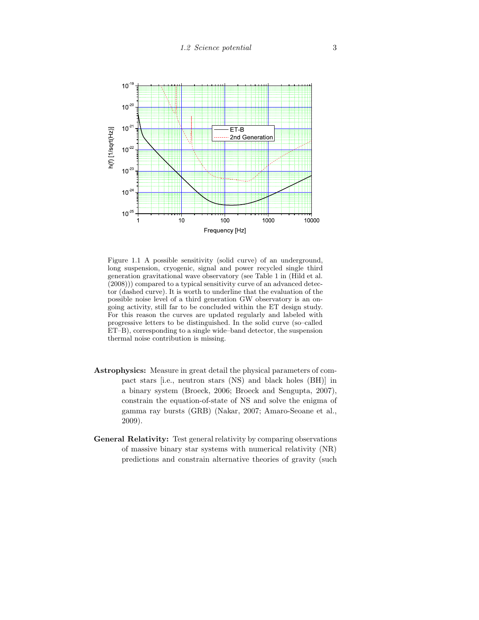

Figure 1.1 A possible sensitivity (solid curve) of an underground, long suspension, cryogenic, signal and power recycled single third generation gravitational wave observatory (see Table 1 in (Hild et al. (2008))) compared to a typical sensitivity curve of an advanced detector (dashed curve). It is worth to underline that the evaluation of the possible noise level of a third generation GW observatory is an ongoing activity, still far to be concluded within the ET design study. For this reason the curves are updated regularly and labeled with progressive letters to be distinguished. In the solid curve (so–called ET–B), corresponding to a single wide–band detector, the suspension thermal noise contribution is missing.

- **Astrophysics:** Measure in great detail the physical parameters of compact stars [i.e., neutron stars (NS) and black holes (BH)] in a binary system (Broeck, 2006; Broeck and Sengupta, 2007), constrain the equation-of-state of NS and solve the enigma of gamma ray bursts (GRB) (Nakar, 2007; Amaro-Seoane et al., 2009).
- **General Relativity:** Test general relativity by comparing observations of massive binary star systems with numerical relativity (NR) predictions and constrain alternative theories of gravity (such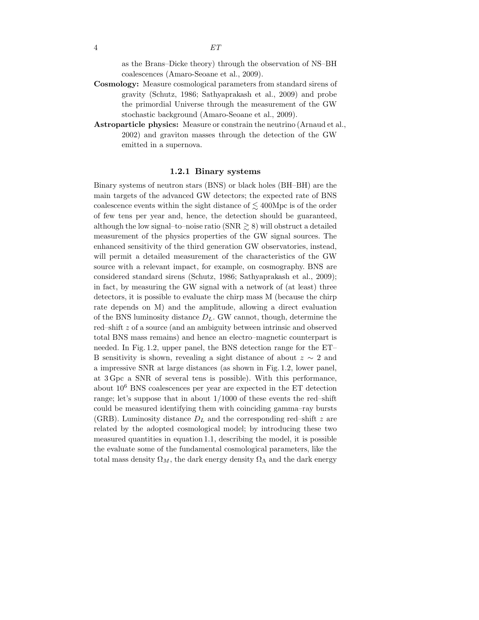as the Brans–Dicke theory) through the observation of NS–BH coalescences (Amaro-Seoane et al., 2009).

- **Cosmology:** Measure cosmological parameters from standard sirens of gravity (Schutz, 1986; Sathyaprakash et al., 2009) and probe the primordial Universe through the measurement of the GW stochastic background (Amaro-Seoane et al., 2009).
- **Astroparticle physics:** Measure or constrain the neutrino (Arnaud et al., 2002) and graviton masses through the detection of the GW emitted in a supernova.

#### **1.2.1 Binary systems**

Binary systems of neutron stars (BNS) or black holes (BH–BH) are the main targets of the advanced GW detectors; the expected rate of BNS coalescence events within the sight distance of  $\lesssim 400 \text{Mpc}$  is of the order of few tens per year and, hence, the detection should be guaranteed, although the low signal–to–noise ratio (SNR  $\geq$  8) will obstruct a detailed measurement of the physics properties of the GW signal sources. The enhanced sensitivity of the third generation GW observatories, instead, will permit a detailed measurement of the characteristics of the GW source with a relevant impact, for example, on cosmography. BNS are considered standard sirens (Schutz, 1986; Sathyaprakash et al., 2009); in fact, by measuring the GW signal with a network of (at least) three detectors, it is possible to evaluate the chirp mass M (because the chirp rate depends on M) and the amplitude, allowing a direct evaluation of the BNS luminosity distance D*L*. GW cannot, though, determine the red–shift z of a source (and an ambiguity between intrinsic and observed total BNS mass remains) and hence an electro–magnetic counterpart is needed. In Fig. 1.2, upper panel, the BNS detection range for the ET– B sensitivity is shown, revealing a sight distance of about  $z \sim 2$  and a impressive SNR at large distances (as shown in Fig. 1.2, lower panel, at 3 Gpc a SNR of several tens is possible). With this performance, about 10<sup>6</sup> BNS coalescences per year are expected in the ET detection range; let's suppose that in about  $1/1000$  of these events the red–shift could be measured identifying them with coinciding gamma–ray bursts (GRB). Luminosity distance  $D<sub>L</sub>$  and the corresponding red–shift z are related by the adopted cosmological model; by introducing these two measured quantities in equation 1.1, describing the model, it is possible the evaluate some of the fundamental cosmological parameters, like the total mass density  $\Omega_M$ , the dark energy density  $\Omega_{\Lambda}$  and the dark energy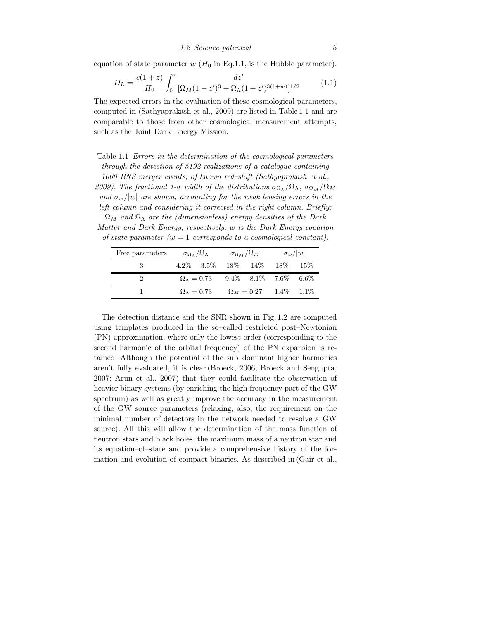equation of state parameter  $w$  ( $H_0$  in Eq.1.1, is the Hubble parameter).

$$
D_L = \frac{c(1+z)}{H_0} \int_0^z \frac{dz'}{[\Omega_M(1+z')^3 + \Omega_\Lambda(1+z')^{3(1+w)}]^{1/2}}
$$
(1.1)

The expected errors in the evaluation of these cosmological parameters, computed in (Sathyaprakash et al., 2009) are listed in Table 1.1 and are comparable to those from other cosmological measurement attempts, such as the Joint Dark Energy Mission.

Table 1.1 *Errors in the determination of the cosmological parameters through the detection of 5192 realizations of a catalogue containing 1000 BNS merger events, of known red–shift (Sathyaprakash et al., 2009). The fractional 1-σ width of the distributions*  $\sigma_{\Omega_{\Lambda}}/\Omega_{\Lambda}$ ,  $\sigma_{\Omega_{M}}/\Omega_{M}$ *and*  $\sigma_w/|w|$  *are shown, accounting for the weak lensing errors in the left column and considering it corrected in the right column. Briefly:*

Ω*<sup>M</sup> and* Ω<sup>Λ</sup> *are the (dimensionless) energy densities of the Dark Matter and Dark Energy, respectively;* w *is the Dark Energy equation of state parameter (*w = 1 *corresponds to a cosmological constant).*

| Free parameters | $\sigma_{\Omega_{\Lambda}}/\Omega_{\Lambda}$              |                         | $\sigma_{\Omega_M}/\Omega_M$ |  | $\sigma_w/ w $                  |  |
|-----------------|-----------------------------------------------------------|-------------------------|------------------------------|--|---------------------------------|--|
|                 |                                                           |                         |                              |  | 4.2\% 3.5\% 18\% 14\% 18\% 15\% |  |
|                 | $\Omega_{\Lambda} = 0.73$ $9.4\%$ $8.1\%$ $7.6\%$ $6.6\%$ |                         |                              |  |                                 |  |
|                 |                                                           | $\Omega_{\Lambda}=0.73$ |                              |  | $\Omega_M = 0.27$ 1.4\% 1.1\%   |  |

The detection distance and the SNR shown in Fig. 1.2 are computed using templates produced in the so–called restricted post–Newtonian (PN) approximation, where only the lowest order (corresponding to the second harmonic of the orbital frequency) of the PN expansion is retained. Although the potential of the sub–dominant higher harmonics aren't fully evaluated, it is clear (Broeck, 2006; Broeck and Sengupta, 2007; Arun et al., 2007) that they could facilitate the observation of heavier binary systems (by enriching the high frequency part of the GW spectrum) as well as greatly improve the accuracy in the measurement of the GW source parameters (relaxing, also, the requirement on the minimal number of detectors in the network needed to resolve a GW source). All this will allow the determination of the mass function of neutron stars and black holes, the maximum mass of a neutron star and its equation–of–state and provide a comprehensive history of the formation and evolution of compact binaries. As described in (Gair et al.,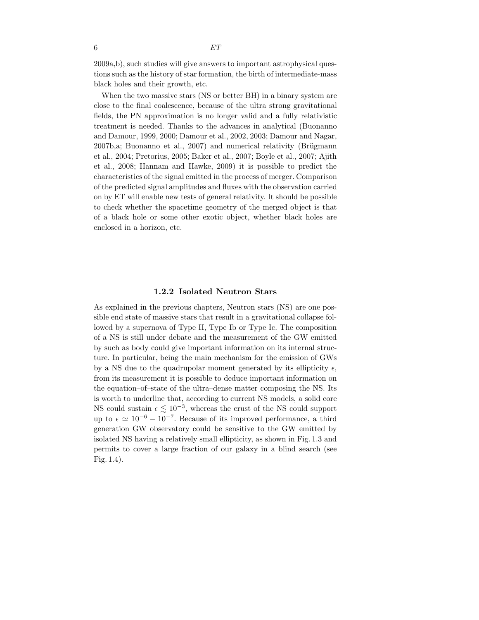2009a,b), such studies will give answers to important astrophysical questions such as the history of star formation, the birth of intermediate-mass black holes and their growth, etc.

When the two massive stars (NS or better BH) in a binary system are close to the final coalescence, because of the ultra strong gravitational fields, the PN approximation is no longer valid and a fully relativistic treatment is needed. Thanks to the advances in analytical (Buonanno and Damour, 1999, 2000; Damour et al., 2002, 2003; Damour and Nagar,  $2007b$ ,a; Buonanno et al.,  $2007$ ) and numerical relativity (Brügmann et al., 2004; Pretorius, 2005; Baker et al., 2007; Boyle et al., 2007; Ajith et al., 2008; Hannam and Hawke, 2009) it is possible to predict the characteristics of the signal emitted in the process of merger. Comparison of the predicted signal amplitudes and fluxes with the observation carried on by ET will enable new tests of general relativity. It should be possible to check whether the spacetime geometry of the merged object is that of a black hole or some other exotic object, whether black holes are enclosed in a horizon, etc.

#### **1.2.2 Isolated Neutron Stars**

As explained in the previous chapters, Neutron stars (NS) are one possible end state of massive stars that result in a gravitational collapse followed by a supernova of Type II, Type Ib or Type Ic. The composition of a NS is still under debate and the measurement of the GW emitted by such as body could give important information on its internal structure. In particular, being the main mechanism for the emission of GWs by a NS due to the quadrupolar moment generated by its ellipticity  $\epsilon$ , from its measurement it is possible to deduce important information on the equation–of–state of the ultra–dense matter composing the NS. Its is worth to underline that, according to current NS models, a solid core NS could sustain  $\epsilon \lesssim 10^{-3}$ , whereas the crust of the NS could support up to  $\epsilon \simeq 10^{-6} - 10^{-7}$ . Because of its improved performance, a third generation GW observatory could be sensitive to the GW emitted by isolated NS having a relatively small ellipticity, as shown in Fig. 1.3 and permits to cover a large fraction of our galaxy in a blind search (see Fig. 1.4).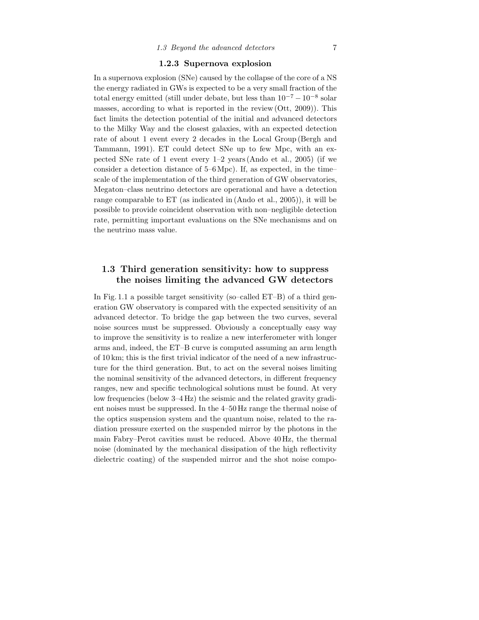#### **1.2.3 Supernova explosion**

In a supernova explosion (SNe) caused by the collapse of the core of a NS the energy radiated in GWs is expected to be a very small fraction of the total energy emitted (still under debate, but less than  $10^{-7} - 10^{-8}$  solar masses, according to what is reported in the review (Ott, 2009)). This fact limits the detection potential of the initial and advanced detectors to the Milky Way and the closest galaxies, with an expected detection rate of about 1 event every 2 decades in the Local Group (Bergh and Tammann, 1991). ET could detect SNe up to few Mpc, with an expected SNe rate of 1 event every 1–2 years (Ando et al., 2005) (if we consider a detection distance of 5–6Mpc). If, as expected, in the time– scale of the implementation of the third generation of GW observatories, Megaton–class neutrino detectors are operational and have a detection range comparable to ET (as indicated in (Ando et al., 2005)), it will be possible to provide coincident observation with non–negligible detection rate, permitting important evaluations on the SNe mechanisms and on the neutrino mass value.

## **1.3 Third generation sensitivity: how to suppress the noises limiting the advanced GW detectors**

In Fig. 1.1 a possible target sensitivity (so–called ET–B) of a third generation GW observatory is compared with the expected sensitivity of an advanced detector. To bridge the gap between the two curves, several noise sources must be suppressed. Obviously a conceptually easy way to improve the sensitivity is to realize a new interferometer with longer arms and, indeed, the ET–B curve is computed assuming an arm length of 10 km; this is the first trivial indicator of the need of a new infrastructure for the third generation. But, to act on the several noises limiting the nominal sensitivity of the advanced detectors, in different frequency ranges, new and specific technological solutions must be found. At very low frequencies (below 3–4 Hz) the seismic and the related gravity gradient noises must be suppressed. In the 4–50 Hz range the thermal noise of the optics suspension system and the quantum noise, related to the radiation pressure exerted on the suspended mirror by the photons in the main Fabry–Perot cavities must be reduced. Above 40 Hz, the thermal noise (dominated by the mechanical dissipation of the high reflectivity dielectric coating) of the suspended mirror and the shot noise compo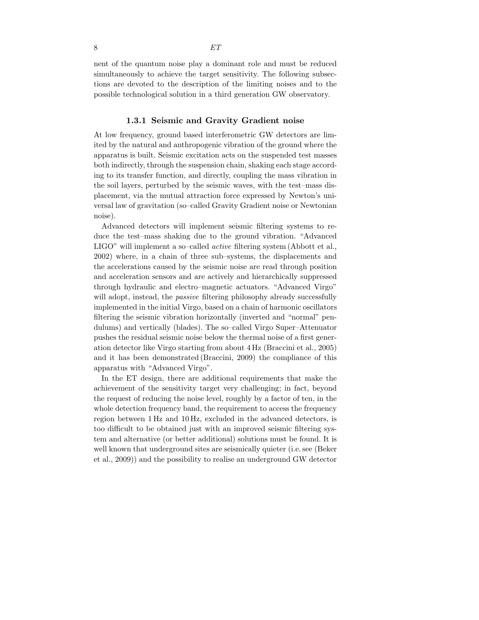nent of the quantum noise play a dominant role and must be reduced simultaneously to achieve the target sensitivity. The following subsections are devoted to the description of the limiting noises and to the possible technological solution in a third generation GW observatory.

#### **1.3.1 Seismic and Gravity Gradient noise**

At low frequency, ground based interferometric GW detectors are limited by the natural and anthropogenic vibration of the ground where the apparatus is built. Seismic excitation acts on the suspended test masses both indirectly, through the suspension chain, shaking each stage according to its transfer function, and directly, coupling the mass vibration in the soil layers, perturbed by the seismic waves, with the test–mass displacement, via the mutual attraction force expressed by Newton's universal law of gravitation (so–called Gravity Gradient noise or Newtonian noise).

Advanced detectors will implement seismic filtering systems to reduce the test–mass shaking due to the ground vibration. "Advanced LIGO" will implement a so–called *active* filtering system (Abbott et al., 2002) where, in a chain of three sub–systems, the displacements and the accelerations caused by the seismic noise are read through position and acceleration sensors and are actively and hierarchically suppressed through hydraulic and electro–magnetic actuators. "Advanced Virgo" will adopt, instead, the *passive* filtering philosophy already successfully implemented in the initial Virgo, based on a chain of harmonic oscillators filtering the seismic vibration horizontally (inverted and "normal" pendulums) and vertically (blades). The so–called Virgo Super–Attenuator pushes the residual seismic noise below the thermal noise of a first generation detector like Virgo starting from about 4 Hz (Braccini et al., 2005) and it has been demonstrated (Braccini, 2009) the compliance of this apparatus with "Advanced Virgo".

In the ET design, there are additional requirements that make the achievement of the sensitivity target very challenging; in fact, beyond the request of reducing the noise level, roughly by a factor of ten, in the whole detection frequency band, the requirement to access the frequency region between 1 Hz and 10 Hz, excluded in the advanced detectors, is too difficult to be obtained just with an improved seismic filtering system and alternative (or better additional) solutions must be found. It is well known that underground sites are seismically quieter (i.e. see (Beker et al., 2009)) and the possibility to realise an underground GW detector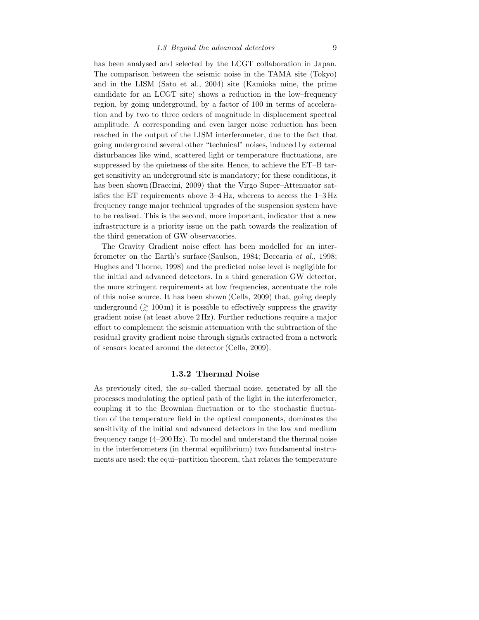has been analysed and selected by the LCGT collaboration in Japan. The comparison between the seismic noise in the TAMA site (Tokyo) and in the LISM (Sato et al., 2004) site (Kamioka mine, the prime candidate for an LCGT site) shows a reduction in the low–frequency region, by going underground, by a factor of 100 in terms of acceleration and by two to three orders of magnitude in displacement spectral amplitude. A corresponding and even larger noise reduction has been reached in the output of the LISM interferometer, due to the fact that going underground several other "technical" noises, induced by external disturbances like wind, scattered light or temperature fluctuations, are suppressed by the quietness of the site. Hence, to achieve the ET–B target sensitivity an underground site is mandatory; for these conditions, it has been shown (Braccini, 2009) that the Virgo Super–Attenuator satisfies the ET requirements above 3–4 Hz, whereas to access the 1–3 Hz frequency range major technical upgrades of the suspension system have to be realised. This is the second, more important, indicator that a new infrastructure is a priority issue on the path towards the realization of the third generation of GW observatories.

The Gravity Gradient noise effect has been modelled for an interferometer on the Earth's surface (Saulson, 1984; Beccaria *et al.*, 1998; Hughes and Thorne, 1998) and the predicted noise level is negligible for the initial and advanced detectors. In a third generation GW detector, the more stringent requirements at low frequencies, accentuate the role of this noise source. It has been shown (Cella, 2009) that, going deeply underground  $(\geq 100 \,\mathrm{m})$  it is possible to effectively suppress the gravity gradient noise (at least above 2 Hz). Further reductions require a major effort to complement the seismic attenuation with the subtraction of the residual gravity gradient noise through signals extracted from a network of sensors located around the detector (Cella, 2009).

#### **1.3.2 Thermal Noise**

As previously cited, the so–called thermal noise, generated by all the processes modulating the optical path of the light in the interferometer, coupling it to the Brownian fluctuation or to the stochastic fluctuation of the temperature field in the optical components, dominates the sensitivity of the initial and advanced detectors in the low and medium frequency range (4–200 Hz). To model and understand the thermal noise in the interferometers (in thermal equilibrium) two fundamental instruments are used: the equi–partition theorem, that relates the temperature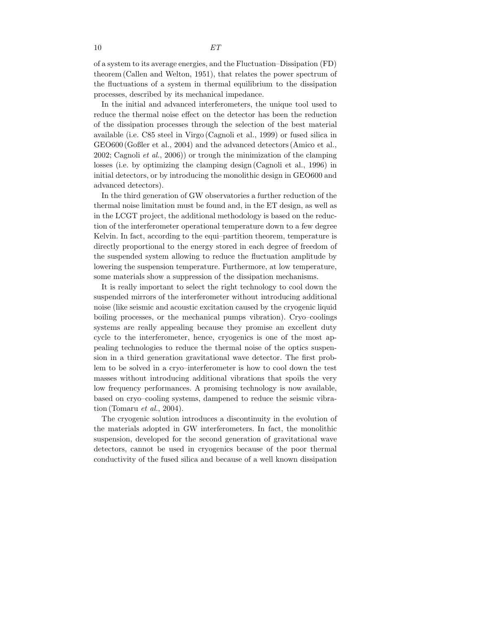10 *ET*

of a system to its average energies, and the Fluctuation–Dissipation (FD) theorem (Callen and Welton, 1951), that relates the power spectrum of the fluctuations of a system in thermal equilibrium to the dissipation processes, described by its mechanical impedance.

In the initial and advanced interferometers, the unique tool used to reduce the thermal noise effect on the detector has been the reduction of the dissipation processes through the selection of the best material available (i.e. C85 steel in Virgo (Cagnoli et al., 1999) or fused silica in GEO600 (Goßler et al., 2004) and the advanced detectors (Amico et al., 2002; Cagnoli *et al.*, 2006)) or trough the minimization of the clamping losses (i.e. by optimizing the clamping design (Cagnoli et al., 1996) in initial detectors, or by introducing the monolithic design in GEO600 and advanced detectors).

In the third generation of GW observatories a further reduction of the thermal noise limitation must be found and, in the ET design, as well as in the LCGT project, the additional methodology is based on the reduction of the interferometer operational temperature down to a few degree Kelvin. In fact, according to the equi–partition theorem, temperature is directly proportional to the energy stored in each degree of freedom of the suspended system allowing to reduce the fluctuation amplitude by lowering the suspension temperature. Furthermore, at low temperature, some materials show a suppression of the dissipation mechanisms.

It is really important to select the right technology to cool down the suspended mirrors of the interferometer without introducing additional noise (like seismic and acoustic excitation caused by the cryogenic liquid boiling processes, or the mechanical pumps vibration). Cryo–coolings systems are really appealing because they promise an excellent duty cycle to the interferometer, hence, cryogenics is one of the most appealing technologies to reduce the thermal noise of the optics suspension in a third generation gravitational wave detector. The first problem to be solved in a cryo–interferometer is how to cool down the test masses without introducing additional vibrations that spoils the very low frequency performances. A promising technology is now available, based on cryo–cooling systems, dampened to reduce the seismic vibration (Tomaru *et al.*, 2004).

The cryogenic solution introduces a discontinuity in the evolution of the materials adopted in GW interferometers. In fact, the monolithic suspension, developed for the second generation of gravitational wave detectors, cannot be used in cryogenics because of the poor thermal conductivity of the fused silica and because of a well known dissipation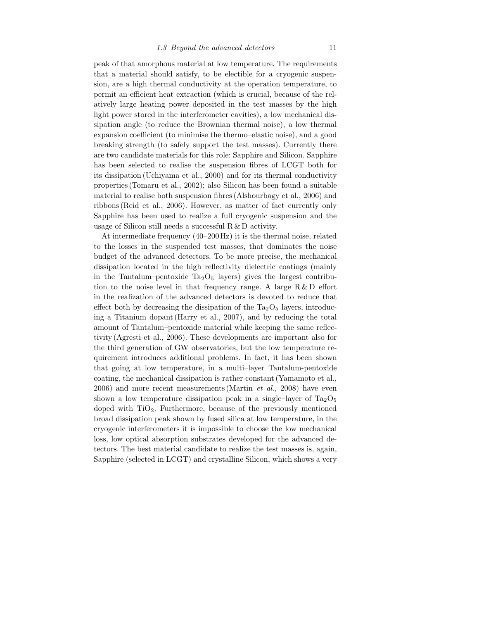peak of that amorphous material at low temperature. The requirements that a material should satisfy, to be electible for a cryogenic suspension, are a high thermal conductivity at the operation temperature, to permit an efficient heat extraction (which is crucial, because of the relatively large heating power deposited in the test masses by the high light power stored in the interferometer cavities), a low mechanical dissipation angle (to reduce the Brownian thermal noise), a low thermal expansion coefficient (to minimise the thermo–elastic noise), and a good breaking strength (to safely support the test masses). Currently there are two candidate materials for this role: Sapphire and Silicon. Sapphire has been selected to realise the suspension fibres of LCGT both for its dissipation (Uchiyama et al., 2000) and for its thermal conductivity properties (Tomaru et al., 2002); also Silicon has been found a suitable material to realise both suspension fibres (Alshourbagy et al., 2006) and ribbons (Reid et al., 2006). However, as matter of fact currently only Sapphire has been used to realize a full cryogenic suspension and the usage of Silicon still needs a successful  $R \& D$  activity.

At intermediate frequency (40–200 Hz) it is the thermal noise, related to the losses in the suspended test masses, that dominates the noise budget of the advanced detectors. To be more precise, the mechanical dissipation located in the high reflectivity dielectric coatings (mainly in the Tantalum–pentoxide  $Ta_2O_5$  layers) gives the largest contribution to the noise level in that frequency range. A large  $R \& D$  effort in the realization of the advanced detectors is devoted to reduce that effect both by decreasing the dissipation of the  $Ta_2O_5$  layers, introducing a Titanium dopant (Harry et al., 2007), and by reducing the total amount of Tantalum–pentoxide material while keeping the same reflectivity (Agresti et al., 2006). These developments are important also for the third generation of GW observatories, but the low temperature requirement introduces additional problems. In fact, it has been shown that going at low temperature, in a multi–layer Tantalum-pentoxide coating, the mechanical dissipation is rather constant (Yamamoto et al., 2006) and more recent measurements (Martin *et al.*, 2008) have even shown a low temperature dissipation peak in a single–layer of  $Ta_2O_5$ doped with  $TiO<sub>2</sub>$ . Furthermore, because of the previously mentioned broad dissipation peak shown by fused silica at low temperature, in the cryogenic interferometers it is impossible to choose the low mechanical loss, low optical absorption substrates developed for the advanced detectors. The best material candidate to realize the test masses is, again, Sapphire (selected in LCGT) and crystalline Silicon, which shows a very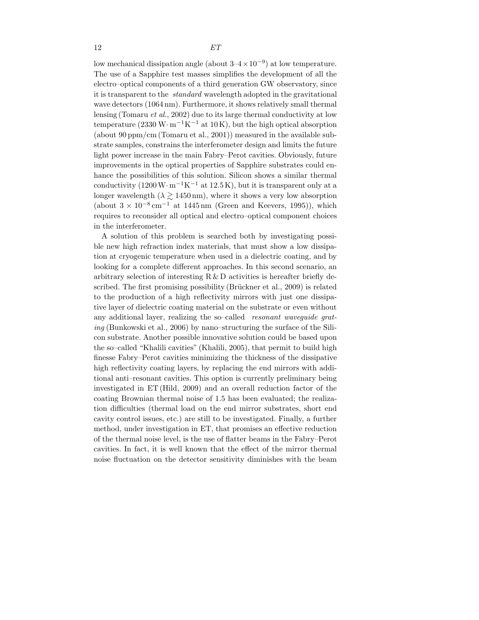low mechanical dissipation angle (about  $3-4\times10^{-9}$ ) at low temperature. The use of a Sapphire test masses simplifies the development of all the electro–optical components of a third generation GW observatory, since it is transparent to the *standard* wavelength adopted in the gravitational wave detectors (1064 nm). Furthermore, it shows relatively small thermal lensing (Tomaru *et al.*, 2002) due to its large thermal conductivity at low temperature (2330 W· m<sup>-1</sup>K<sup>-1</sup> at 10K), but the high optical absorption (about 90 ppm/cm (Tomaru et al., 2001)) measured in the available substrate samples, constrains the interferometer design and limits the future light power increase in the main Fabry–Perot cavities. Obviously, future improvements in the optical properties of Sapphire substrates could enhance the possibilities of this solution. Silicon shows a similar thermal conductivity  $(1200 \,\mathrm{W} \cdot \mathrm{m}^{-1} \mathrm{K}^{-1})$  at  $12.5 \,\mathrm{K}$ , but it is transparent only at a longer wavelength  $(\lambda \gtrsim 1450 \,\text{nm})$ , where it shows a very low absorption (about  $3 \times 10^{-8}$  cm<sup>-1</sup> at 1445 nm (Green and Keevers, 1995)), which requires to reconsider all optical and electro–optical component choices in the interferometer.

A solution of this problem is searched both by investigating possible new high refraction index materials, that must show a low dissipation at cryogenic temperature when used in a dielectric coating, and by looking for a complete different approaches. In this second scenario, an arbitrary selection of interesting  $R \& D$  activities is hereafter briefly described. The first promising possibility (Brückner et al., 2009) is related to the production of a high reflectivity mirrors with just one dissipative layer of dielectric coating material on the substrate or even without any additional layer, realizing the so–called *resonant waveguide grating* (Bunkowski et al., 2006) by nano–structuring the surface of the Silicon substrate. Another possible innovative solution could be based upon the so–called "Khalili cavities" (Khalili, 2005), that permit to build high finesse Fabry–Perot cavities minimizing the thickness of the dissipative high reflectivity coating layers, by replacing the end mirrors with additional anti–resonant cavities. This option is currently preliminary being investigated in ET (Hild, 2009) and an overall reduction factor of the coating Brownian thermal noise of 1.5 has been evaluated; the realization difficulties (thermal load on the end mirror substrates, short end cavity control issues, etc.) are still to be investigated. Finally, a further method, under investigation in ET, that promises an effective reduction of the thermal noise level, is the use of flatter beams in the Fabry–Perot cavities. In fact, it is well known that the effect of the mirror thermal noise fluctuation on the detector sensitivity diminishes with the beam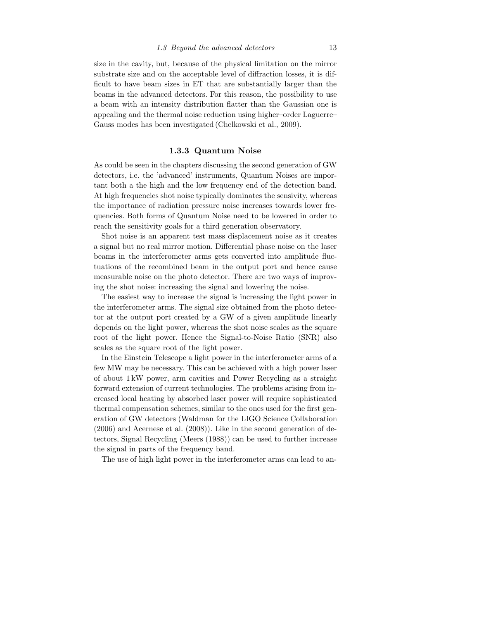size in the cavity, but, because of the physical limitation on the mirror substrate size and on the acceptable level of diffraction losses, it is difficult to have beam sizes in ET that are substantially larger than the beams in the advanced detectors. For this reason, the possibility to use a beam with an intensity distribution flatter than the Gaussian one is appealing and the thermal noise reduction using higher–order Laguerre– Gauss modes has been investigated (Chelkowski et al., 2009).

#### **1.3.3 Quantum Noise**

As could be seen in the chapters discussing the second generation of GW detectors, i.e. the 'advanced' instruments, Quantum Noises are important both a the high and the low frequency end of the detection band. At high frequencies shot noise typically dominates the sensivity, whereas the importance of radiation pressure noise increases towards lower frequencies. Both forms of Quantum Noise need to be lowered in order to reach the sensitivity goals for a third generation observatory.

Shot noise is an apparent test mass displacement noise as it creates a signal but no real mirror motion. Differential phase noise on the laser beams in the interferometer arms gets converted into amplitude fluctuations of the recombined beam in the output port and hence cause measurable noise on the photo detector. There are two ways of improving the shot noise: increasing the signal and lowering the noise.

The easiest way to increase the signal is increasing the light power in the interferometer arms. The signal size obtained from the photo detector at the output port created by a GW of a given amplitude linearly depends on the light power, whereas the shot noise scales as the square root of the light power. Hence the Signal-to-Noise Ratio (SNR) also scales as the square root of the light power.

In the Einstein Telescope a light power in the interferometer arms of a few MW may be necessary. This can be achieved with a high power laser of about 1 kW power, arm cavities and Power Recycling as a straight forward extension of current technologies. The problems arising from increased local heating by absorbed laser power will require sophisticated thermal compensation schemes, similar to the ones used for the first generation of GW detectors (Waldman for the LIGO Science Collaboration (2006) and Acernese et al. (2008)). Like in the second generation of detectors, Signal Recycling (Meers (1988)) can be used to further increase the signal in parts of the frequency band.

The use of high light power in the interferometer arms can lead to an-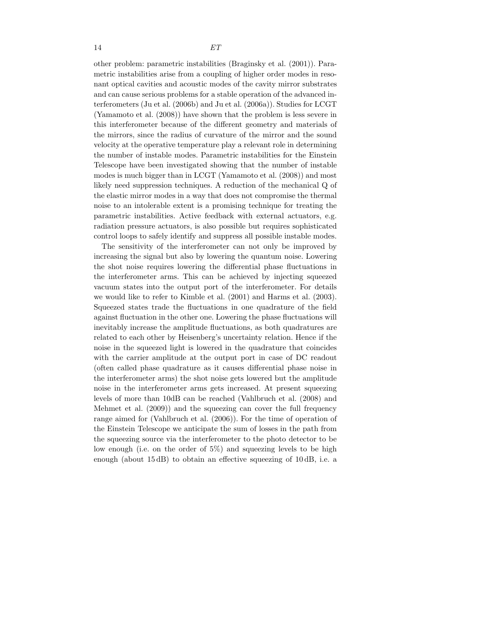other problem: parametric instabilities (Braginsky et al. (2001)). Parametric instabilities arise from a coupling of higher order modes in resonant optical cavities and acoustic modes of the cavity mirror substrates and can cause serious problems for a stable operation of the advanced interferometers (Ju et al. (2006b) and Ju et al. (2006a)). Studies for LCGT (Yamamoto et al. (2008)) have shown that the problem is less severe in this interferometer because of the different geometry and materials of the mirrors, since the radius of curvature of the mirror and the sound velocity at the operative temperature play a relevant role in determining the number of instable modes. Parametric instabilities for the Einstein Telescope have been investigated showing that the number of instable modes is much bigger than in LCGT (Yamamoto et al. (2008)) and most likely need suppression techniques. A reduction of the mechanical Q of the elastic mirror modes in a way that does not compromise the thermal noise to an intolerable extent is a promising technique for treating the parametric instabilities. Active feedback with external actuators, e.g. radiation pressure actuators, is also possible but requires sophisticated control loops to safely identify and suppress all possible instable modes.

The sensitivity of the interferometer can not only be improved by increasing the signal but also by lowering the quantum noise. Lowering the shot noise requires lowering the differential phase fluctuations in the interferometer arms. This can be achieved by injecting squeezed vacuum states into the output port of the interferometer. For details we would like to refer to Kimble et al. (2001) and Harms et al. (2003). Squeezed states trade the fluctuations in one quadrature of the field against fluctuation in the other one. Lowering the phase fluctuations will inevitably increase the amplitude fluctuations, as both quadratures are related to each other by Heisenberg's uncertainty relation. Hence if the noise in the squeezed light is lowered in the quadrature that coincides with the carrier amplitude at the output port in case of DC readout (often called phase quadrature as it causes differential phase noise in the interferometer arms) the shot noise gets lowered but the amplitude noise in the interferometer arms gets increased. At present squeezing levels of more than 10dB can be reached (Vahlbruch et al. (2008) and Mehmet et al. (2009)) and the squeezing can cover the full frequency range aimed for (Vahlbruch et al. (2006)). For the time of operation of the Einstein Telescope we anticipate the sum of losses in the path from the squeezing source via the interferometer to the photo detector to be low enough (i.e. on the order of 5%) and squeezing levels to be high enough (about 15 dB) to obtain an effective squeezing of 10 dB, i.e. a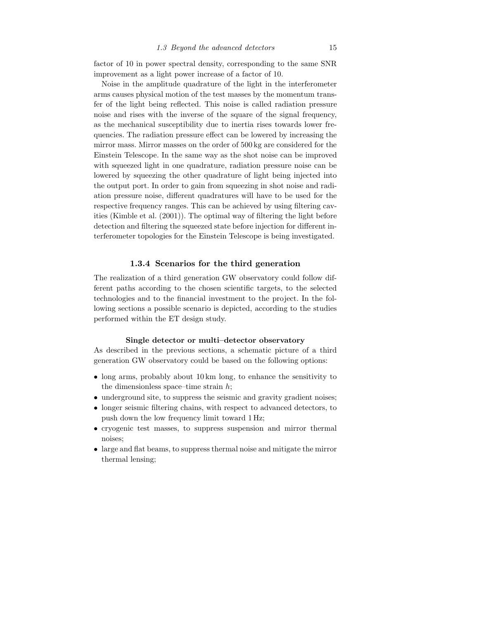factor of 10 in power spectral density, corresponding to the same SNR improvement as a light power increase of a factor of 10.

Noise in the amplitude quadrature of the light in the interferometer arms causes physical motion of the test masses by the momentum transfer of the light being reflected. This noise is called radiation pressure noise and rises with the inverse of the square of the signal frequency, as the mechanical susceptibility due to inertia rises towards lower frequencies. The radiation pressure effect can be lowered by increasing the mirror mass. Mirror masses on the order of 500 kg are considered for the Einstein Telescope. In the same way as the shot noise can be improved with squeezed light in one quadrature, radiation pressure noise can be lowered by squeezing the other quadrature of light being injected into the output port. In order to gain from squeezing in shot noise and radiation pressure noise, different quadratures will have to be used for the respective frequency ranges. This can be achieved by using filtering cavities (Kimble et al. (2001)). The optimal way of filtering the light before detection and filtering the squeezed state before injection for different interferometer topologies for the Einstein Telescope is being investigated.

#### **1.3.4 Scenarios for the third generation**

The realization of a third generation GW observatory could follow different paths according to the chosen scientific targets, to the selected technologies and to the financial investment to the project. In the following sections a possible scenario is depicted, according to the studies performed within the ET design study.

#### **Single detector or multi–detector observatory**

As described in the previous sections, a schematic picture of a third generation GW observatory could be based on the following options:

- long arms, probably about 10 km long, to enhance the sensitivity to the dimensionless space–time strain  $h$ ;
- underground site, to suppress the seismic and gravity gradient noises;
- longer seismic filtering chains, with respect to advanced detectors, to push down the low frequency limit toward 1 Hz;
- cryogenic test masses, to suppress suspension and mirror thermal noises;
- large and flat beams, to suppress thermal noise and mitigate the mirror thermal lensing;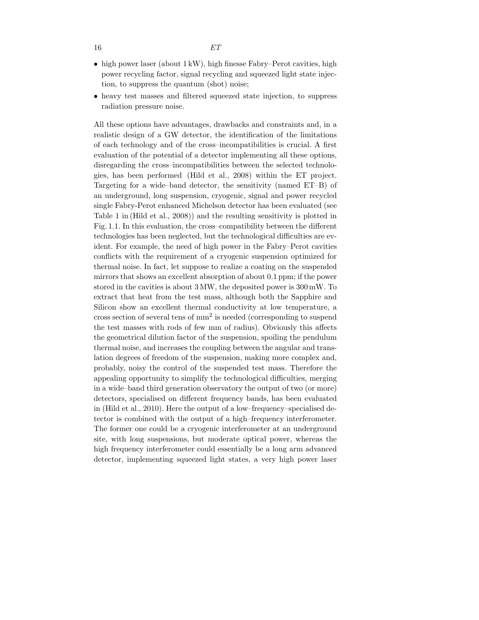- high power laser (about 1 kW), high finesse Fabry–Perot cavities, high power recycling factor, signal recycling and squeezed light state injection, to suppress the quantum (shot) noise;
- heavy test masses and filtered squeezed state injection, to suppress radiation pressure noise.

All these options have advantages, drawbacks and constraints and, in a realistic design of a GW detector, the identification of the limitations of each technology and of the cross–incompatibilities is crucial. A first evaluation of the potential of a detector implementing all these options, disregarding the cross–incompatibilities between the selected technologies, has been performed (Hild et al., 2008) within the ET project. Targeting for a wide–band detector, the sensitivity (named ET–B) of an underground, long suspension, cryogenic, signal and power recycled single Fabry-Perot enhanced Michelson detector has been evaluated (see Table 1 in (Hild et al., 2008)) and the resulting sensitivity is plotted in Fig. 1.1. In this evaluation, the cross–compatibility between the different technologies has been neglected, but the technological difficulties are evident. For example, the need of high power in the Fabry–Perot cavities conflicts with the requirement of a cryogenic suspension optimized for thermal noise. In fact, let suppose to realize a coating on the suspended mirrors that shows an excellent absorption of about 0.1 ppm; if the power stored in the cavities is about 3 MW, the deposited power is 300 mW. To extract that heat from the test mass, although both the Sapphire and Silicon show an excellent thermal conductivity at low temperature, a cross section of several tens of  $mm<sup>2</sup>$  is needed (corresponding to suspend the test masses with rods of few mm of radius). Obviously this affects the geometrical dilution factor of the suspension, spoiling the pendulum thermal noise, and increases the coupling between the angular and translation degrees of freedom of the suspension, making more complex and, probably, noisy the control of the suspended test mass. Therefore the appealing opportunity to simplify the technological difficulties, merging in a wide–band third generation observatory the output of two (or more) detectors, specialised on different frequency bands, has been evaluated in (Hild et al., 2010). Here the output of a low–frequency–specialised detector is combined with the output of a high–frequency interferometer. The former one could be a cryogenic interferometer at an underground site, with long suspensions, but moderate optical power, whereas the high frequency interferometer could essentially be a long arm advanced detector, implementing squeezed light states, a very high power laser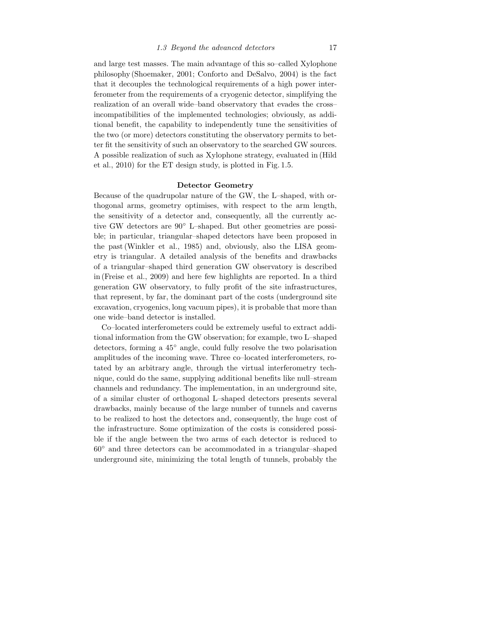and large test masses. The main advantage of this so–called Xylophone philosophy (Shoemaker, 2001; Conforto and DeSalvo, 2004) is the fact that it decouples the technological requirements of a high power interferometer from the requirements of a cryogenic detector, simplifying the realization of an overall wide–band observatory that evades the cross– incompatibilities of the implemented technologies; obviously, as additional benefit, the capability to independently tune the sensitivities of the two (or more) detectors constituting the observatory permits to better fit the sensitivity of such an observatory to the searched GW sources. A possible realization of such as Xylophone strategy, evaluated in (Hild et al., 2010) for the ET design study, is plotted in Fig. 1.5.

#### **Detector Geometry**

Because of the quadrupolar nature of the GW, the L–shaped, with orthogonal arms, geometry optimises, with respect to the arm length, the sensitivity of a detector and, consequently, all the currently active GW detectors are 90◦ L–shaped. But other geometries are possible; in particular, triangular–shaped detectors have been proposed in the past (Winkler et al., 1985) and, obviously, also the LISA geometry is triangular. A detailed analysis of the benefits and drawbacks of a triangular–shaped third generation GW observatory is described in (Freise et al., 2009) and here few highlights are reported. In a third generation GW observatory, to fully profit of the site infrastructures, that represent, by far, the dominant part of the costs (underground site excavation, cryogenics, long vacuum pipes), it is probable that more than one wide–band detector is installed.

Co–located interferometers could be extremely useful to extract additional information from the GW observation; for example, two L–shaped detectors, forming a 45◦ angle, could fully resolve the two polarisation amplitudes of the incoming wave. Three co–located interferometers, rotated by an arbitrary angle, through the virtual interferometry technique, could do the same, supplying additional benefits like null–stream channels and redundancy. The implementation, in an underground site, of a similar cluster of orthogonal L–shaped detectors presents several drawbacks, mainly because of the large number of tunnels and caverns to be realized to host the detectors and, consequently, the huge cost of the infrastructure. Some optimization of the costs is considered possible if the angle between the two arms of each detector is reduced to 60◦ and three detectors can be accommodated in a triangular–shaped underground site, minimizing the total length of tunnels, probably the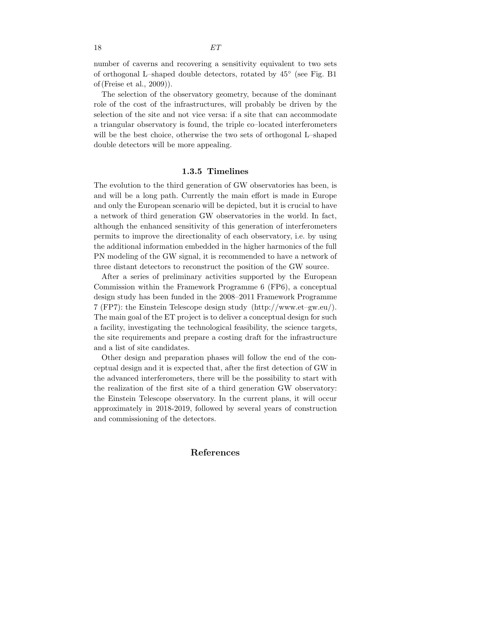number of caverns and recovering a sensitivity equivalent to two sets of orthogonal L–shaped double detectors, rotated by 45◦ (see Fig. B1

The selection of the observatory geometry, because of the dominant role of the cost of the infrastructures, will probably be driven by the selection of the site and not vice versa: if a site that can accommodate a triangular observatory is found, the triple co–located interferometers will be the best choice, otherwise the two sets of orthogonal L–shaped double detectors will be more appealing.

#### **1.3.5 Timelines**

The evolution to the third generation of GW observatories has been, is and will be a long path. Currently the main effort is made in Europe and only the European scenario will be depicted, but it is crucial to have a network of third generation GW observatories in the world. In fact, although the enhanced sensitivity of this generation of interferometers permits to improve the directionality of each observatory, i.e. by using the additional information embedded in the higher harmonics of the full PN modeling of the GW signal, it is recommended to have a network of three distant detectors to reconstruct the position of the GW source.

After a series of preliminary activities supported by the European Commission within the Framework Programme 6 (FP6), a conceptual design study has been funded in the 2008–2011 Framework Programme 7 (FP7): the Einstein Telescope design study (http://www.et–gw.eu/). The main goal of the ET project is to deliver a conceptual design for such a facility, investigating the technological feasibility, the science targets, the site requirements and prepare a costing draft for the infrastructure and a list of site candidates.

Other design and preparation phases will follow the end of the conceptual design and it is expected that, after the first detection of GW in the advanced interferometers, there will be the possibility to start with the realization of the first site of a third generation GW observatory: the Einstein Telescope observatory. In the current plans, it will occur approximately in 2018-2019, followed by several years of construction and commissioning of the detectors.

#### **References**

of (Freise et al., 2009)).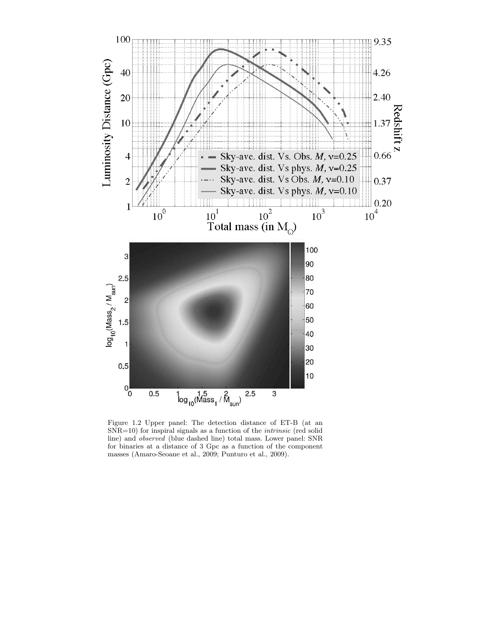

Figure 1.2 Upper panel: The detection distance of ET-B (at an SNR=10) for inspiral signals as a function of the *intrinsic* (red solid line) and *observed* (blue dashed line) total mass. Lower panel: SNR for binaries at a distance of 3 Gpc as a function of the component masses (Amaro-Seoane et al., 2009; Punturo et al., 2009).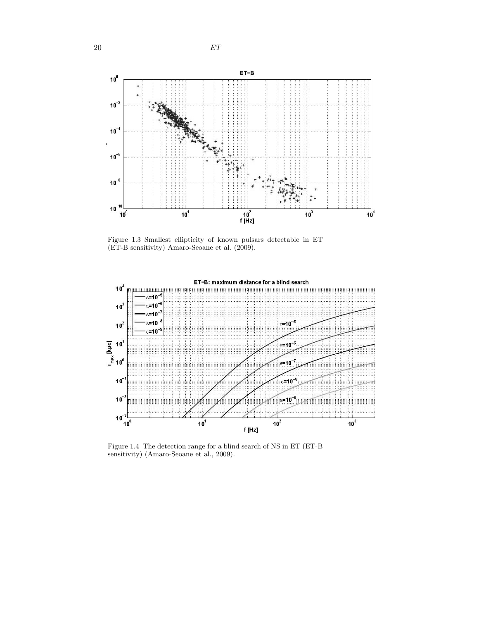



Figure 1.3 Smallest ellipticity of known pulsars detectable in ET (ET-B sensitivity) Amaro-Seoane et al. (2009).



Figure 1.4 The detection range for a blind search of NS in ET (ET-B sensitivity) (Amaro-Seoane et al., 2009).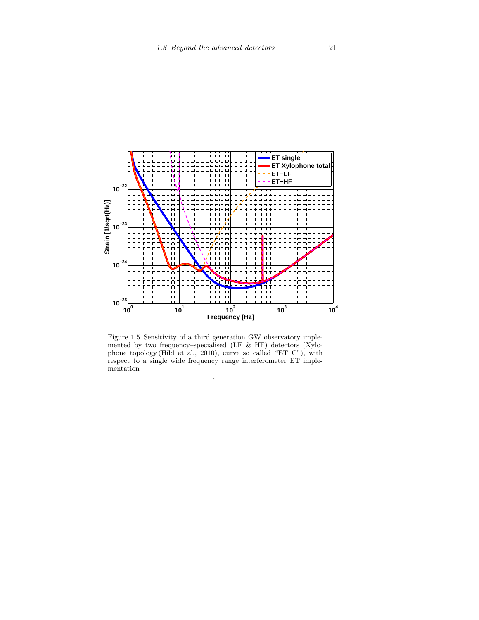

Figure 1.5 Sensitivity of a third generation GW observatory implemented by two frequency–specialised (LF & HF) detectors (Xylophone topology (Hild et al., 2010), curve so–called "ET–C"), with respect to a single wide frequency range interferometer ET implementation

.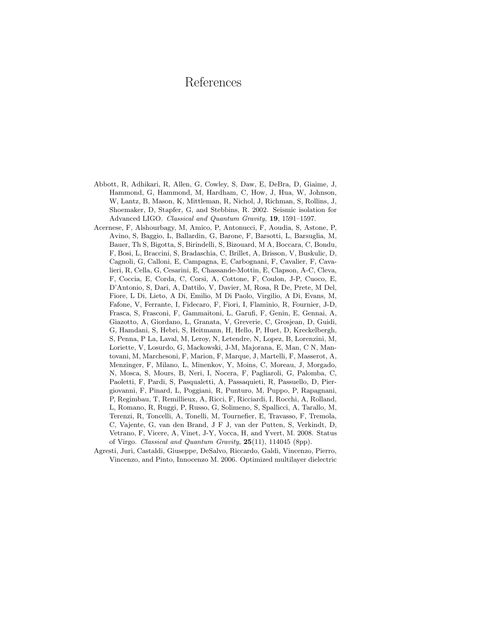## References

- Abbott, R, Adhikari, R, Allen, G, Cowley, S, Daw, E, DeBra, D, Giaime, J, Hammond, G, Hammond, M, Hardham, C, How, J, Hua, W, Johnson, W, Lantz, B, Mason, K, Mittleman, R, Nichol, J, Richman, S, Rollins, J, Shoemaker, D, Stapfer, G, and Stebbins, R. 2002. Seismic isolation for Advanced LIGO. *Classical and Quantum Gravity*, **19**, 1591–1597.
- Acernese, F, Alshourbagy, M, Amico, P, Antonucci, F, Aoudia, S, Astone, P, Avino, S, Baggio, L, Ballardin, G, Barone, F, Barsotti, L, Barsuglia, M, Bauer, Th S, Bigotta, S, Birindelli, S, Bizouard, M A, Boccara, C, Bondu, F, Bosi, L, Braccini, S, Bradaschia, C, Brillet, A, Brisson, V, Buskulic, D, Cagnoli, G, Calloni, E, Campagna, E, Carbognani, F, Cavalier, F, Cavalieri, R, Cella, G, Cesarini, E, Chassande-Mottin, E, Clapson, A-C, Cleva, F, Coccia, E, Corda, C, Corsi, A, Cottone, F, Coulon, J-P, Cuoco, E, D'Antonio, S, Dari, A, Dattilo, V, Davier, M, Rosa, R De, Prete, M Del, Fiore, L Di, Lieto, A Di, Emilio, M Di Paolo, Virgilio, A Di, Evans, M, Fafone, V, Ferrante, I, Fidecaro, F, Fiori, I, Flaminio, R, Fournier, J-D, Frasca, S, Frasconi, F, Gammaitoni, L, Garufi, F, Genin, E, Gennai, A, Giazotto, A, Giordano, L, Granata, V, Greverie, C, Grosjean, D, Guidi, G, Hamdani, S, Hebri, S, Heitmann, H, Hello, P, Huet, D, Kreckelbergh, S, Penna, P La, Laval, M, Leroy, N, Letendre, N, Lopez, B, Lorenzini, M, Loriette, V, Losurdo, G, Mackowski, J-M, Majorana, E, Man, C N, Mantovani, M, Marchesoni, F, Marion, F, Marque, J, Martelli, F, Masserot, A, Menzinger, F, Milano, L, Minenkov, Y, Moins, C, Moreau, J, Morgado, N, Mosca, S, Mours, B, Neri, I, Nocera, F, Pagliaroli, G, Palomba, C, Paoletti, F, Pardi, S, Pasqualetti, A, Passaquieti, R, Passuello, D, Piergiovanni, F, Pinard, L, Poggiani, R, Punturo, M, Puppo, P, Rapagnani, P, Regimbau, T, Remillieux, A, Ricci, F, Ricciardi, I, Rocchi, A, Rolland, L, Romano, R, Ruggi, P, Russo, G, Solimeno, S, Spallicci, A, Tarallo, M, Terenzi, R, Toncelli, A, Tonelli, M, Tournefier, E, Travasso, F, Tremola, C, Vajente, G, van den Brand, J F J, van der Putten, S, Verkindt, D, Vetrano, F, Vicere, A, Vinet, J-Y, Vocca, H, and Yvert, M. 2008. Status of Virgo. *Classical and Quantum Gravity*, **25**(11), 114045 (8pp).
- Agresti, Juri, Castaldi, Giuseppe, DeSalvo, Riccardo, Galdi, Vincenzo, Pierro, Vincenzo, and Pinto, Innocenzo M. 2006. Optimized multilayer dielectric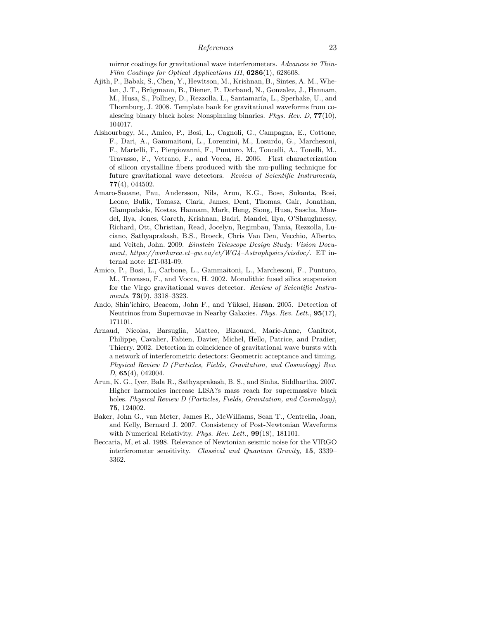mirror coatings for gravitational wave interferometers. *Advances in Thin-Film Coatings for Optical Applications III*, **6286**(1), 628608.

- Ajith, P., Babak, S., Chen, Y., Hewitson, M., Krishnan, B., Sintes, A. M., Whelan, J. T., Brügmann, B., Diener, P., Dorband, N., Gonzalez, J., Hannam, M., Husa, S., Pollney, D., Rezzolla, L., Santamaría, L., Sperhake, U., and Thornburg, J. 2008. Template bank for gravitational waveforms from coalescing binary black holes: Nonspinning binaries. *Phys. Rev. D*, **77**(10), 104017.
- Alshourbagy, M., Amico, P., Bosi, L., Cagnoli, G., Campagna, E., Cottone, F., Dari, A., Gammaitoni, L., Lorenzini, M., Losurdo, G., Marchesoni, F., Martelli, F., Piergiovanni, F., Punturo, M., Toncelli, A., Tonelli, M., Travasso, F., Vetrano, F., and Vocca, H. 2006. First characterization of silicon crystalline fibers produced with the mu-pulling technique for future gravitational wave detectors. *Review of Scientific Instruments*, **77**(4), 044502.
- Amaro-Seoane, Pau, Andersson, Nils, Arun, K.G., Bose, Sukanta, Bosi, Leone, Bulik, Tomasz, Clark, James, Dent, Thomas, Gair, Jonathan, Glampedakis, Kostas, Hannam, Mark, Heng, Siong, Husa, Sascha, Mandel, Ilya, Jones, Gareth, Krishnan, Badri, Mandel, Ilya, O'Shaughnessy, Richard, Ott, Christian, Read, Jocelyn, Regimbau, Tania, Rezzolla, Luciano, Sathyaprakash, B.S., Broeck, Chris Van Den, Vecchio, Alberto, and Veitch, John. 2009. *Einstein Telescope Design Study: Vision Document, https://workarea.et–gw.eu/et/WG4–Astrophysics/visdoc/*. ET internal note: ET-031-09.
- Amico, P., Bosi, L., Carbone, L., Gammaitoni, L., Marchesoni, F., Punturo, M., Travasso, F., and Vocca, H. 2002. Monolithic fused silica suspension for the Virgo gravitational waves detector. *Review of Scientific Instruments*, **73**(9), 3318–3323.
- Ando, Shin'ichiro, Beacom, John F., and Yüksel, Hasan. 2005. Detection of Neutrinos from Supernovae in Nearby Galaxies. *Phys. Rev. Lett.*, **95**(17), 171101.
- Arnaud, Nicolas, Barsuglia, Matteo, Bizouard, Marie-Anne, Canitrot, Philippe, Cavalier, Fabien, Davier, Michel, Hello, Patrice, and Pradier, Thierry. 2002. Detection in coincidence of gravitational wave bursts with a network of interferometric detectors: Geometric acceptance and timing. *Physical Review D (Particles, Fields, Gravitation, and Cosmology) Rev. D*, **65**(4), 042004.
- Arun, K. G., Iyer, Bala R., Sathyaprakash, B. S., and Sinha, Siddhartha. 2007. Higher harmonics increase LISA?s mass reach for supermassive black holes. *Physical Review D (Particles, Fields, Gravitation, and Cosmology)*, **75**, 124002.
- Baker, John G., van Meter, James R., McWilliams, Sean T., Centrella, Joan, and Kelly, Bernard J. 2007. Consistency of Post-Newtonian Waveforms with Numerical Relativity. *Phys. Rev. Lett.*, **99**(18), 181101.
- Beccaria, M, et al. 1998. Relevance of Newtonian seismic noise for the VIRGO interferometer sensitivity. *Classical and Quantum Gravity*, **15**, 3339– 3362.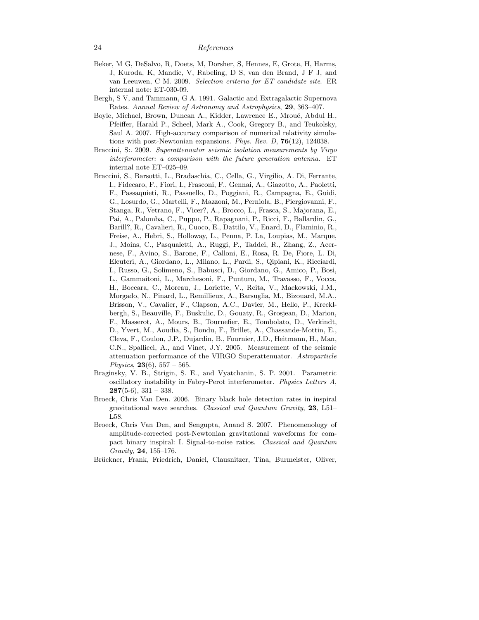- Beker, M G, DeSalvo, R, Doets, M, Dorsher, S, Hennes, E, Grote, H, Harms, J, Kuroda, K, Mandic, V, Rabeling, D S, van den Brand, J F J, and van Leeuwen, C M. 2009. *Selection criteria for ET candidate site*. ER internal note: ET-030-09.
- Bergh, S V, and Tammann, G A. 1991. Galactic and Extragalactic Supernova Rates. *Annual Review of Astronomy and Astrophysics*, **29**, 363–407.
- Boyle, Michael, Brown, Duncan A., Kidder, Lawrence E., Mroué, Abdul H., Pfeiffer, Harald P., Scheel, Mark A., Cook, Gregory B., and Teukolsky, Saul A. 2007. High-accuracy comparison of numerical relativity simulations with post-Newtonian expansions. *Phys. Rev. D*, **76**(12), 124038.
- Braccini, S:. 2009. *Superattenuator seismic isolation measurements by Virgo interferometer: a comparison with the future generation antenna.* ET internal note ET–025–09.
- Braccini, S., Barsotti, L., Bradaschia, C., Cella, G., Virgilio, A. Di, Ferrante, I., Fidecaro, F., Fiori, I., Frasconi, F., Gennai, A., Giazotto, A., Paoletti, F., Passaquieti, R., Passuello, D., Poggiani, R., Campagna, E., Guidi, G., Losurdo, G., Martelli, F., Mazzoni, M., Perniola, B., Piergiovanni, F., Stanga, R., Vetrano, F., Vicer?, A., Brocco, L., Frasca, S., Majorana, E., Pai, A., Palomba, C., Puppo, P., Rapagnani, P., Ricci, F., Ballardin, G., Barill?, R., Cavalieri, R., Cuoco, E., Dattilo, V., Enard, D., Flaminio, R., Freise, A., Hebri, S., Holloway, L., Penna, P. La, Loupias, M., Marque, J., Moins, C., Pasqualetti, A., Ruggi, P., Taddei, R., Zhang, Z., Acernese, F., Avino, S., Barone, F., Calloni, E., Rosa, R. De, Fiore, L. Di, Eleuteri, A., Giordano, L., Milano, L., Pardi, S., Qipiani, K., Ricciardi, I., Russo, G., Solimeno, S., Babusci, D., Giordano, G., Amico, P., Bosi, L., Gammaitoni, L., Marchesoni, F., Punturo, M., Travasso, F., Vocca, H., Boccara, C., Moreau, J., Loriette, V., Reita, V., Mackowski, J.M., Morgado, N., Pinard, L., Remillieux, A., Barsuglia, M., Bizouard, M.A., Brisson, V., Cavalier, F., Clapson, A.C., Davier, M., Hello, P., Krecklbergh, S., Beauville, F., Buskulic, D., Gouaty, R., Grosjean, D., Marion, F., Masserot, A., Mours, B., Tournefier, E., Tombolato, D., Verkindt, D., Yvert, M., Aoudia, S., Bondu, F., Brillet, A., Chassande-Mottin, E., Cleva, F., Coulon, J.P., Dujardin, B., Fournier, J.D., Heitmann, H., Man, C.N., Spallicci, A., and Vinet, J.Y. 2005. Measurement of the seismic attenuation performance of the VIRGO Superattenuator. *Astroparticle Physics*, **23**(6), 557 – 565.
- Braginsky, V. B., Strigin, S. E., and Vyatchanin, S. P. 2001. Parametric oscillatory instability in Fabry-Perot interferometer. *Physics Letters A*, **287**(5-6), 331 – 338.
- Broeck, Chris Van Den. 2006. Binary black hole detection rates in inspiral gravitational wave searches. *Classical and Quantum Gravity*, **23**, L51– L58.
- Broeck, Chris Van Den, and Sengupta, Anand S. 2007. Phenomenology of amplitude-corrected post-Newtonian gravitational waveforms for compact binary inspiral: I. Signal-to-noise ratios. *Classical and Quantum Gravity*, **24**, 155–176.
- Brückner, Frank, Friedrich, Daniel, Clausnitzer, Tina, Burmeister, Oliver,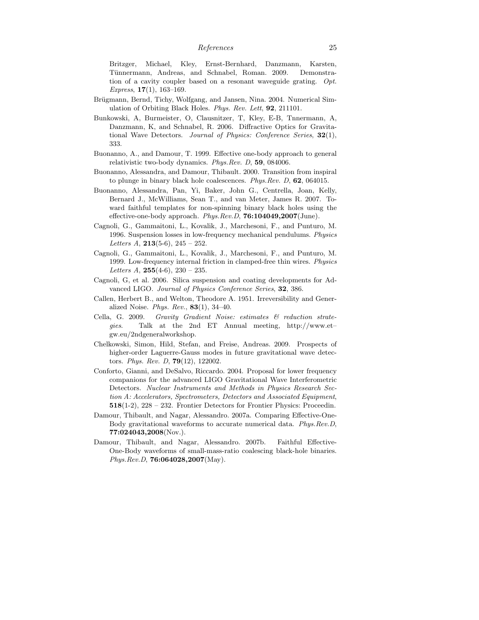Britzger, Michael, Kley, Ernst-Bernhard, Danzmann, Karsten, Tünnermann, Andreas, and Schnabel, Roman. 2009. Demonstration of a cavity coupler based on a resonant waveguide grating. *Opt. Express*, **17**(1), 163–169.

- Brügmann, Bernd, Tichy, Wolfgang, and Jansen, Nina. 2004. Numerical Simulation of Orbiting Black Holes. *Phys. Rev. Lett*, **92**, 211101.
- Bunkowski, A, Burmeister, O, Clausnitzer, T, Kley, E-B, Tnnermann, A, Danzmann, K, and Schnabel, R. 2006. Diffractive Optics for Gravitational Wave Detectors. *Journal of Physics: Conference Series*, **32**(1), 333.
- Buonanno, A., and Damour, T. 1999. Effective one-body approach to general relativistic two-body dynamics. *Phys.Rev. D*, **59**, 084006.
- Buonanno, Alessandra, and Damour, Thibault. 2000. Transition from inspiral to plunge in binary black hole coalescences. *Phys.Rev. D*, **62**, 064015.
- Buonanno, Alessandra, Pan, Yi, Baker, John G., Centrella, Joan, Kelly, Bernard J., McWilliams, Sean T., and van Meter, James R. 2007. Toward faithful templates for non-spinning binary black holes using the effective-one-body approach. *Phys.Rev.D*, **76:104049,2007**(June).
- Cagnoli, G., Gammaitoni, L., Kovalik, J., Marchesoni, F., and Punturo, M. 1996. Suspension losses in low-frequency mechanical pendulums. *Physics Letters A*, **213**(5-6), 245 – 252.
- Cagnoli, G., Gammaitoni, L., Kovalik, J., Marchesoni, F., and Punturo, M. 1999. Low-frequency internal friction in clamped-free thin wires. *Physics Letters A*, **255**(4-6), 230 – 235.
- Cagnoli, G, et al. 2006. Silica suspension and coating developments for Advanced LIGO. *Journal of Physics Conference Series*, **32**, 386.
- Callen, Herbert B., and Welton, Theodore A. 1951. Irreversibility and Generalized Noise. *Phys. Rev.*, **83**(1), 34–40.
- Cella, G. 2009. *Gravity Gradient Noise: estimates & reduction strategies*. Talk at the 2nd ET Annual meeting, http://www.et– gw.eu/2ndgeneralworkshop.
- Chelkowski, Simon, Hild, Stefan, and Freise, Andreas. 2009. Prospects of higher-order Laguerre-Gauss modes in future gravitational wave detectors. *Phys. Rev. D*, **79**(12), 122002.
- Conforto, Gianni, and DeSalvo, Riccardo. 2004. Proposal for lower frequency companions for the advanced LIGO Gravitational Wave Interferometric Detectors. *Nuclear Instruments and Methods in Physics Research Section A: Accelerators, Spectrometers, Detectors and Associated Equipment*, **518**(1-2), 228 – 232. Frontier Detectors for Frontier Physics: Proceedin.
- Damour, Thibault, and Nagar, Alessandro. 2007a. Comparing Effective-One-Body gravitational waveforms to accurate numerical data. *Phys.Rev.D*, **77:024043,2008**(Nov.).
- Damour, Thibault, and Nagar, Alessandro. 2007b. Faithful Effective-One-Body waveforms of small-mass-ratio coalescing black-hole binaries. *Phys.Rev.D*, **76:064028,2007**(May).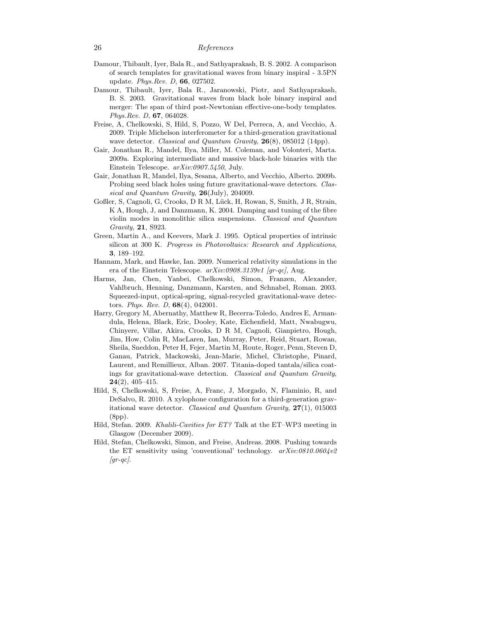- Damour, Thibault, Iyer, Bala R., and Sathyaprakash, B. S. 2002. A comparison of search templates for gravitational waves from binary inspiral - 3.5PN update. *Phys.Rev. D*, **66**, 027502.
- Damour, Thibault, Iyer, Bala R., Jaranowski, Piotr, and Sathyaprakash, B. S. 2003. Gravitational waves from black hole binary inspiral and merger: The span of third post-Newtonian effective-one-body templates. *Phys.Rev. D*, **67**, 064028.
- Freise, A, Chelkowski, S, Hild, S, Pozzo, W Del, Perreca, A, and Vecchio, A. 2009. Triple Michelson interferometer for a third-generation gravitational wave detector. *Classical and Quantum Gravity*, **26**(8), 085012 (14pp).
- Gair, Jonathan R., Mandel, Ilya, Miller, M. Coleman, and Volonteri, Marta. 2009a. Exploring intermediate and massive black-hole binaries with the Einstein Telescope. *arXiv:0907.5450*, July.
- Gair, Jonathan R, Mandel, Ilya, Sesana, Alberto, and Vecchio, Alberto. 2009b. Probing seed black holes using future gravitational-wave detectors. *Classical and Quantum Gravity*, **26**(July), 204009.
- Goßler, S, Cagnoli, G, Crooks, D R M, Lück, H, Rowan, S, Smith, J R, Strain, K A, Hough, J, and Danzmann, K. 2004. Damping and tuning of the fibre violin modes in monolithic silica suspensions. *Classical and Quantum Gravity*, **21**, S923.
- Green, Martin A., and Keevers, Mark J. 1995. Optical properties of intrinsic silicon at 300 K. *Progress in Photovoltaics: Research and Applications*, **3**, 189–192.
- Hannam, Mark, and Hawke, Ian. 2009. Numerical relativity simulations in the era of the Einstein Telescope. *arXiv:0908.3139v1 [gr-qc]*, Aug.
- Harms, Jan, Chen, Yanbei, Chelkowski, Simon, Franzen, Alexander, Vahlbruch, Henning, Danzmann, Karsten, and Schnabel, Roman. 2003. Squeezed-input, optical-spring, signal-recycled gravitational-wave detectors. *Phys. Rev. D*, **68**(4), 042001.
- Harry, Gregory M, Abernathy, Matthew R, Becerra-Toledo, Andres E, Armandula, Helena, Black, Eric, Dooley, Kate, Eichenfield, Matt, Nwabugwu, Chinyere, Villar, Akira, Crooks, D R M, Cagnoli, Gianpietro, Hough, Jim, How, Colin R, MacLaren, Ian, Murray, Peter, Reid, Stuart, Rowan, Sheila, Sneddon, Peter H, Fejer, Martin M, Route, Roger, Penn, Steven D, Ganau, Patrick, Mackowski, Jean-Marie, Michel, Christophe, Pinard, Laurent, and Remillieux, Alban. 2007. Titania-doped tantala/silica coatings for gravitational-wave detection. *Classical and Quantum Gravity*, **24**(2), 405–415.
- Hild, S, Chelkowski, S, Freise, A, Franc, J, Morgado, N, Flaminio, R, and DeSalvo, R. 2010. A xylophone configuration for a third-generation gravitational wave detector. *Classical and Quantum Gravity*, **27**(1), 015003 (8pp).
- Hild, Stefan. 2009. *Khalili-Cavities for ET?* Talk at the ET–WP3 meeting in Glasgow (December 2009).
- Hild, Stefan, Chelkowski, Simon, and Freise, Andreas. 2008. Pushing towards the ET sensitivity using 'conventional' technology. *arXiv:0810.0604v2 [gr-qc]*.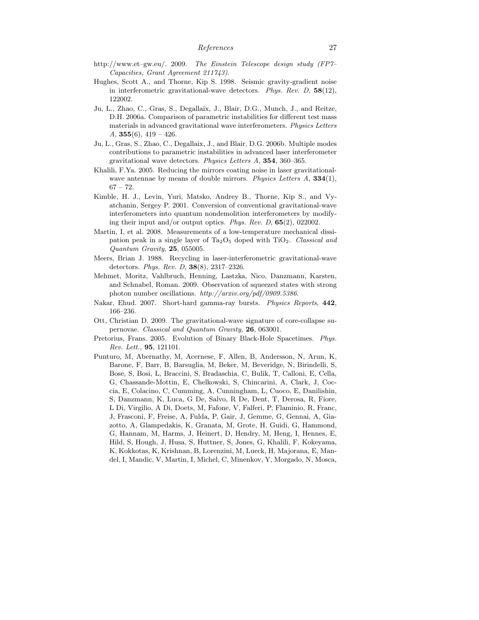- http://www.et–gw.eu/. 2009. *The Einstein Telescope design study (FP7– Capacities, Grant Agreement 211743)*.
- Hughes, Scott A., and Thorne, Kip S. 1998. Seismic gravity-gradient noise in interferometric gravitational-wave detectors. *Phys. Rev. D*, **58**(12), 122002.
- Ju, L., Zhao, C., Gras, S., Degallaix, J., Blair, D.G., Munch, J., and Reitze, D.H. 2006a. Comparison of parametric instabilities for different test mass materials in advanced gravitational wave interferometers. *Physics Letters A*, **355**(6), 419 – 426.
- Ju, L., Gras, S., Zhao, C., Degallaix, J., and Blair, D.G. 2006b. Multiple modes contributions to parametric instabilities in advanced laser interferometer gravitational wave detectors. *Physics Letters A*, **354**, 360–365.
- Khalili, F.Ya. 2005. Reducing the mirrors coating noise in laser gravitationalwave antennae by means of double mirrors. *Physics Letters A*, **334**(1),  $67 - 72.$
- Kimble, H. J., Levin, Yuri, Matsko, Andrey B., Thorne, Kip S., and Vyatchanin, Sergey P. 2001. Conversion of conventional gravitational-wave interferometers into quantum nondemolition interferometers by modifying their input and/or output optics. *Phys. Rev. D*, **65**(2), 022002.
- Martin, I, et al. 2008. Measurements of a low-temperature mechanical dissipation peak in a single layer of Ta2O<sup>5</sup> doped with TiO2. *Classical and Quantum Gravity*, **25**, 055005.
- Meers, Brian J. 1988. Recycling in laser-interferometric gravitational-wave detectors. *Phys. Rev. D*, **38**(8), 2317–2326.
- Mehmet, Moritz, Vahlbruch, Henning, Lastzka, Nico, Danzmann, Karsten, and Schnabel, Roman. 2009. Observation of squeezed states with strong photon number oscillations. *http://arxiv.org/pdf/0909.5386*.
- Nakar, Ehud. 2007. Short-hard gamma-ray bursts. *Physics Reports*, **442**, 166–236.
- Ott, Christian D. 2009. The gravitational-wave signature of core-collapse supernovae. *Classical and Quantum Gravity*, **26**, 063001.
- Pretorius, Frans. 2005. Evolution of Binary Black-Hole Spacetimes. *Phys. Rev. Lett.*, **95**, 121101.
- Punturo, M, Abernathy, M, Acernese, F, Allen, B, Andersson, N, Arun, K, Barone, F, Barr, B, Barsuglia, M, Beker, M, Beveridge, N, Birindelli, S, Bose, S, Bosi, L, Braccini, S, Bradaschia, C, Bulik, T, Calloni, E, Cella, G, Chassande-Mottin, E, Chelkowski, S, Chincarini, A, Clark, J, Coccia, E, Colacino, C, Cumming, A, Cunningham, L, Cuoco, E, Danilishin, S, Danzmann, K, Luca, G De, Salvo, R De, Dent, T, Derosa, R, Fiore, L Di, Virgilio, A Di, Doets, M, Fafone, V, Falferi, P, Flaminio, R, Franc, J, Frasconi, F, Freise, A, Fulda, P, Gair, J, Gemme, G, Gennai, A, Giazotto, A, Glampedakis, K, Granata, M, Grote, H, Guidi, G, Hammond, G, Hannam, M, Harms, J, Heinert, D, Hendry, M, Heng, I, Hennes, E, Hild, S, Hough, J, Husa, S, Huttner, S, Jones, G, Khalili, F, Kokeyama, K, Kokkotas, K, Krishnan, B, Lorenzini, M, Lueck, H, Majorana, E, Mandel, I, Mandic, V, Martin, I, Michel, C, Minenkov, Y, Morgado, N, Mosca,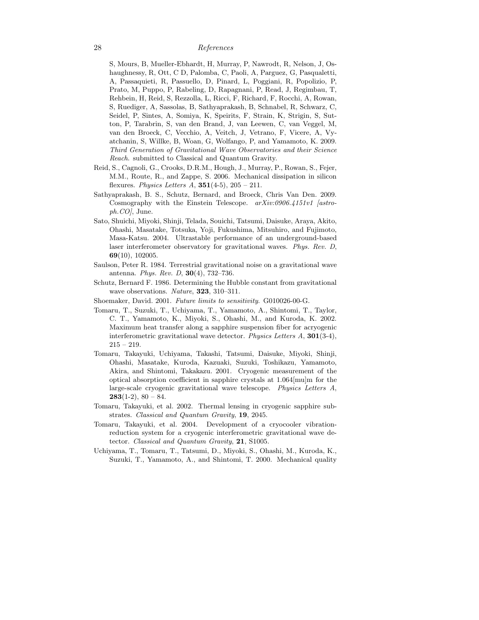S, Mours, B, Mueller-Ebhardt, H, Murray, P, Nawrodt, R, Nelson, J, Oshaughnessy, R, Ott, C D, Palomba, C, Paoli, A, Parguez, G, Pasqualetti, A, Passaquieti, R, Passuello, D, Pinard, L, Poggiani, R, Popolizio, P, Prato, M, Puppo, P, Rabeling, D, Rapagnani, P, Read, J, Regimbau, T, Rehbein, H, Reid, S, Rezzolla, L, Ricci, F, Richard, F, Rocchi, A, Rowan, S, Ruediger, A, Sassolas, B, Sathyaprakash, B, Schnabel, R, Schwarz, C, Seidel, P, Sintes, A, Somiya, K, Speirits, F, Strain, K, Strigin, S, Sutton, P, Tarabrin, S, van den Brand, J, van Leewen, C, van Veggel, M, van den Broeck, C, Vecchio, A, Veitch, J, Vetrano, F, Vicere, A, Vyatchanin, S, Willke, B, Woan, G, Wolfango, P, and Yamamoto, K. 2009. *Third Generation of Gravitational Wave Observatories and their Science Reach*. submitted to Classical and Quantum Gravity.

- Reid, S., Cagnoli, G., Crooks, D.R.M., Hough, J., Murray, P., Rowan, S., Fejer, M.M., Route, R., and Zappe, S. 2006. Mechanical dissipation in silicon flexures. *Physics Letters A*, **351**(4-5), 205 – 211.
- Sathyaprakash, B. S., Schutz, Bernard, and Broeck, Chris Van Den. 2009. Cosmography with the Einstein Telescope. *arXiv:0906.4151v1 [astroph.CO]*, June.
- Sato, Shuichi, Miyoki, Shinji, Telada, Souichi, Tatsumi, Daisuke, Araya, Akito, Ohashi, Masatake, Totsuka, Yoji, Fukushima, Mitsuhiro, and Fujimoto, Masa-Katsu. 2004. Ultrastable performance of an underground-based laser interferometer observatory for gravitational waves. *Phys. Rev. D*, **69**(10), 102005.
- Saulson, Peter R. 1984. Terrestrial gravitational noise on a gravitational wave antenna. *Phys. Rev. D*, **30**(4), 732–736.
- Schutz, Bernard F. 1986. Determining the Hubble constant from gravitational wave observations. *Nature*, **323**, 310–311.
- Shoemaker, David. 2001. *Future limits to sensitivity*. G010026-00-G.
- Tomaru, T., Suzuki, T., Uchiyama, T., Yamamoto, A., Shintomi, T., Taylor, C. T., Yamamoto, K., Miyoki, S., Ohashi, M., and Kuroda, K. 2002. Maximum heat transfer along a sapphire suspension fiber for acryogenic interferometric gravitational wave detector. *Physics Letters A*, **301**(3-4), 215 – 219.
- Tomaru, Takayuki, Uchiyama, Takashi, Tatsumi, Daisuke, Miyoki, Shinji, Ohashi, Masatake, Kuroda, Kazuaki, Suzuki, Toshikazu, Yamamoto, Akira, and Shintomi, Takakazu. 2001. Cryogenic measurement of the optical absorption coefficient in sapphire crystals at 1.064[mu]m for the large-scale cryogenic gravitational wave telescope. *Physics Letters A*, **283**(1-2),  $80 - 84$ .
- Tomaru, Takayuki, et al. 2002. Thermal lensing in cryogenic sapphire substrates. *Classical and Quantum Gravity*, **19**, 2045.
- Tomaru, Takayuki, et al. 2004. Development of a cryocooler vibrationreduction system for a cryogenic interferometric gravitational wave detector. *Classical and Quantum Gravity*, **21**, S1005.
- Uchiyama, T., Tomaru, T., Tatsumi, D., Miyoki, S., Ohashi, M., Kuroda, K., Suzuki, T., Yamamoto, A., and Shintomi, T. 2000. Mechanical quality